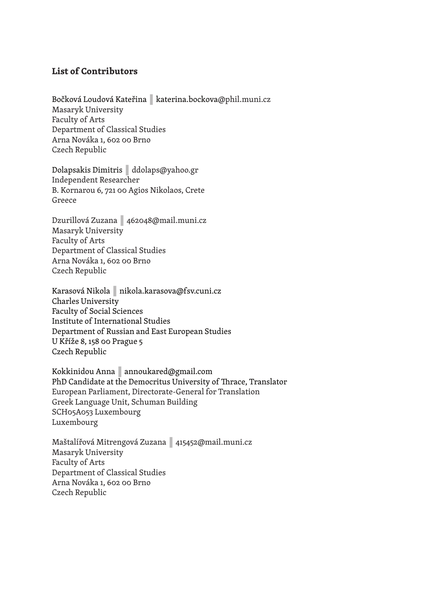## **List of Contributors**

## Bočková Loudová Kateřina **|** katerina.bockova@phil.muni.cz Masaryk University Faculty of Arts Department of Classical Studies Arna Nováka 1, 602 00 Brno Czech Republic

Dolapsakis Dimitris **|** ddolaps@yahoo.gr Independent Researcher B. Kornarou 6, 721 00 Agios Nikolaos, Crete Greece

Dzurillová Zuzana **|** 462048@mail.muni.cz Masaryk University Faculty of Arts Department of Classical Studies Arna Nováka 1, 602 00 Brno Czech Republic

Karasová Nikola **|** nikola.karasova@fsv.cuni.cz Charles University Faculty of Social Sciences Institute of International Studies Department of Russian and East European Studies U Kříže 8, 158 00 Prague 5 Czech Republic

Kokkinidou Anna **|** annoukared@gmail.com PhD Candidate at the Democritus University of Thrace, Translator European Parliament, Directorate-General for Translation Greek Language Unit, Schuman Building SCH05A053 Luxembourg Luxembourg

Maštalířová Mitrengová Zuzana **|** 415452@mail.muni.cz Masaryk University Faculty of Arts Department of Classical Studies Arna Nováka 1, 602 00 Brno Czech Republic